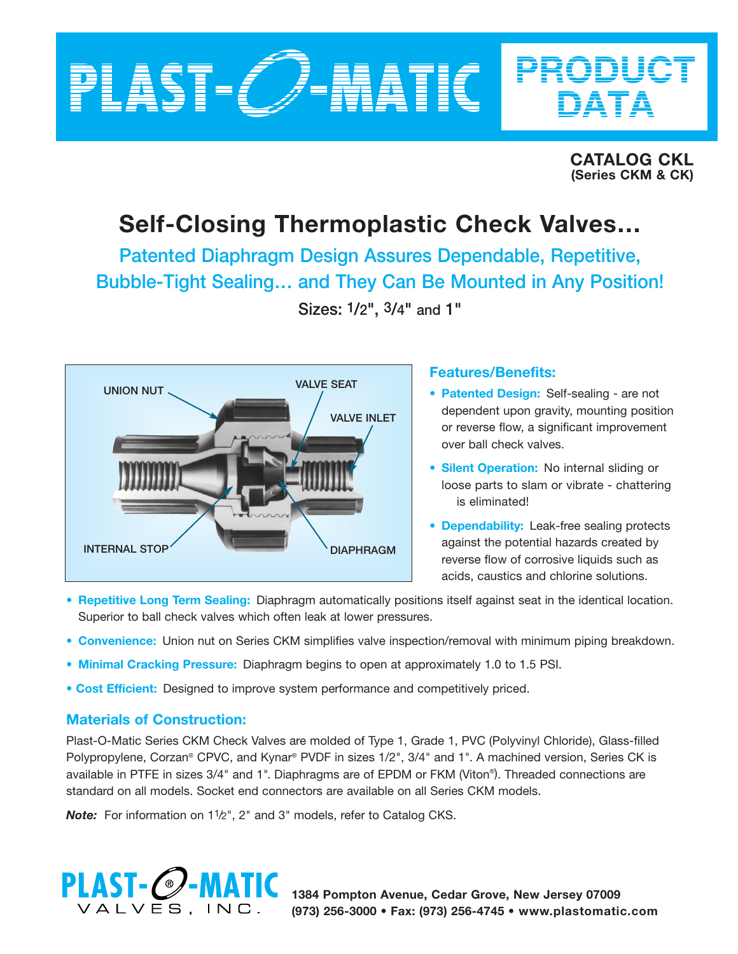

**CATALOG CKL (Series CKM & CK)**

PRODUCT

DATA

# **Self-Closing Thermoplastic Check Valves…**

**Patented Diaphragm Design Assures Dependable, Repetitive, Bubble-Tight Sealing… and They Can Be Mounted in Any Position! Sizes: 1/2", 3/4" and 1"**



## **Features/Benefits:**

- **• Patented Design:** Self-sealing are not dependent upon gravity, mounting position or reverse flow, a significant improvement over ball check valves.
- **Silent Operation:** No internal sliding or loose parts to slam or vibrate - chattering is eliminated!
- **• Dependability:** Leak-free sealing protects against the potential hazards created by reverse flow of corrosive liquids such as acids, caustics and chlorine solutions.
- **• Repetitive Long Term Sealing:** Diaphragm automatically positions itself against seat in the identical location. Superior to ball check valves which often leak at lower pressures.
- **• Convenience:** Union nut on Series CKM simplifies valve inspection/removal with minimum piping breakdown.
- **• Minimal Cracking Pressure:** Diaphragm begins to open at approximately 1.0 to 1.5 PSI.
- **Cost Efficient:** Designed to improve system performance and competitively priced.

### **Materials of Construction:**

Plast-O-Matic Series CKM Check Valves are molded of Type 1, Grade 1, PVC (Polyvinyl Chloride), Glass-filled Polypropylene, Corzan® CPVC, and Kynar® PVDF in sizes 1/2", 3/4" and 1". A machined version, Series CK is available in PTFE in sizes 3/4" and 1". Diaphragms are of EPDM or FKM (Viton®). Threaded connections are standard on all models. Socket end connectors are available on all Series CKM models.

*Note:* For information on 1<sup>1</sup>/2", 2" and 3" models, refer to Catalog CKS.